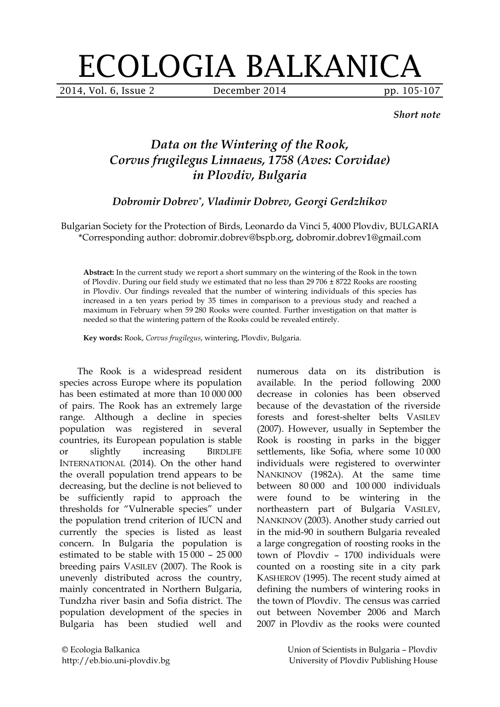## ECOLOGIA BALKANICA

2014, Vol. 6, Issue 2 **December 2014** pp. 105-107

*Short note*

## *Data on the Wintering of the Rook, Corvus frugilegus Linnaeus, 1758 (Aves: Corvidae) in Plovdiv, Bulgaria*

*Dobromir Dobrev\*, Vladimir Dobrev, Georgi Gerdzhikov*

Bulgarian Society for the Protection of Birds, Leonardo da Vinci 5, 4000 Plovdiv, BULGARIA \*Corresponding author: dobromir.dobrev@bspb.org, dobromir.dobrev1@gmail.com

**Abstract:** In the current study we report a short summary on the wintering of the Rook in the town of Plovdiv. During our field study we estimated that no less than 29 706 ± 8722 Rooks are roosting in Plovdiv. Our findings revealed that the number of wintering individuals of this species has increased in a ten years period by 35 times in comparison to a previous study and reached a maximum in February when 59 280 Rooks were counted. Further investigation on that matter is needed so that the wintering pattern of the Rooks could be revealed entirely.

**Key words:** Rook, *Corvus frugilegus*, wintering, Plovdiv, Bulgaria.

The Rook is a widespread resident species across Europe where its population has been estimated at more than 10 000 000 of pairs. The Rook has an extremely large range. Although a decline in species population was registered in several countries, its European population is stable or slightly increasing BIRDLIFE INTERNATIONAL (2014). On the other hand the overall population trend appears to be decreasing, but the decline is not believed to be sufficiently rapid to approach the thresholds for "Vulnerable species" under the population trend criterion of IUCN and currently the species is listed as least concern. In Bulgaria the population is estimated to be stable with 15 000 – 25 000 breeding pairs VASILEV (2007). The Rook is unevenly distributed across the country, mainly concentrated in Northern Bulgaria, Tundzha river basin and Sofia district. The population development of the species in Bulgaria has been studied well and

decrease in colonies has been observed because of the devastation of the riverside forests and forest-shelter belts VASILEV (2007). However, usually in September the Rook is roosting in parks in the bigger settlements, like Sofia, where some 10 000 individuals were registered to overwinter NANKINOV (1982A). At the same time between 80 000 and 100 000 individuals were found to be wintering in the northeastern part of Bulgaria VASILEV, NANKINOV (2003). Another study carried out in the mid-90 in southern Bulgaria revealed a large congregation of roosting rooks in the town of Plovdiv – 1700 individuals were counted on a roosting site in a city park KASHEROV (1995). The recent study aimed at defining the numbers of wintering rooks in the town of Plovdiv. The census was carried out between November 2006 and March 2007 in Plovdiv as the rooks were counted

numerous data on its distribution is available. In the period following 2000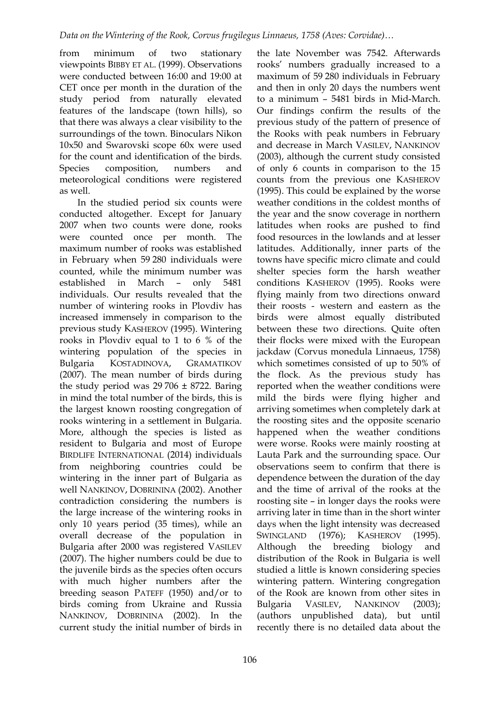from minimum of two stationary viewpoints BIBBY ET AL. (1999). Observations were conducted between 16:00 and 19:00 at CET once per month in the duration of the study period from naturally elevated features of the landscape (town hills), so that there was always a clear visibility to the surroundings of the town. Binoculars Nikon 10x50 and Swarovski scope 60x were used for the count and identification of the birds. Species composition, numbers and meteorological conditions were registered as well.

In the studied period six counts were conducted altogether. Except for January 2007 when two counts were done, rooks were counted once per month. The maximum number of rooks was established in February when 59 280 individuals were counted, while the minimum number was established in March – only 5481 individuals. Our results revealed that the number of wintering rooks in Plovdiv has increased immensely in comparison to the previous study KASHEROV (1995). Wintering rooks in Plovdiv equal to 1 to 6 % of the wintering population of the species in Bulgaria KOSTADINOVA, GRAMATIKOV (2007). The mean number of birds during the study period was  $29706 \pm 8722$ . Baring in mind the total number of the birds, this is the largest known roosting congregation of rooks wintering in a settlement in Bulgaria. More, although the species is listed as resident to Bulgaria and most of Europe BIRDLIFE INTERNATIONAL (2014) individuals from neighboring countries could be wintering in the inner part of Bulgaria as well NANKINOV, DOBRININA (2002). Another contradiction considering the numbers is the large increase of the wintering rooks in only 10 years period (35 times), while an overall decrease of the population in Bulgaria after 2000 was registered VASILEV (2007). The higher numbers could be due to the juvenile birds as the species often occurs with much higher numbers after the breeding season PATEFF (1950) and/or to birds coming from Ukraine and Russia NANKINOV, DOBRININA (2002). In the current study the initial number of birds in

the late November was 7542. Afterwards rooks' numbers gradually increased to a maximum of 59 280 individuals in February and then in only 20 days the numbers went to a minimum – 5481 birds in Mid-March. Our findings confirm the results of the previous study of the pattern of presence of the Rooks with peak numbers in February and decrease in March VASILEV, NANKINOV (2003), although the current study consisted of only 6 counts in comparison to the 15 counts from the previous one KASHEROV (1995). This could be explained by the worse weather conditions in the coldest months of the year and the snow coverage in northern latitudes when rooks are pushed to find food resources in the lowlands and at lesser latitudes. Additionally, inner parts of the towns have specific micro climate and could shelter species form the harsh weather conditions KASHEROV (1995). Rooks were flying mainly from two directions onward their roosts - western and eastern as the birds were almost equally distributed between these two directions. Quite often their flocks were mixed with the European jackdaw (Corvus monedula Linnaeus, 1758) which sometimes consisted of up to 50% of the flock. As the previous study has reported when the weather conditions were mild the birds were flying higher and arriving sometimes when completely dark at the roosting sites and the opposite scenario happened when the weather conditions were worse. Rooks were mainly roosting at Lauta Park and the surrounding space. Our observations seem to confirm that there is dependence between the duration of the day and the time of arrival of the rooks at the roosting site – in longer days the rooks were arriving later in time than in the short winter days when the light intensity was decreased SWINGLAND (1976); KASHEROV (1995). Although the breeding biology and distribution of the Rook in Bulgaria is well studied a little is known considering species wintering pattern. Wintering congregation of the Rook are known from other sites in Bulgaria VASILEV, NANKINOV (2003); (authors unpublished data), but until recently there is no detailed data about the